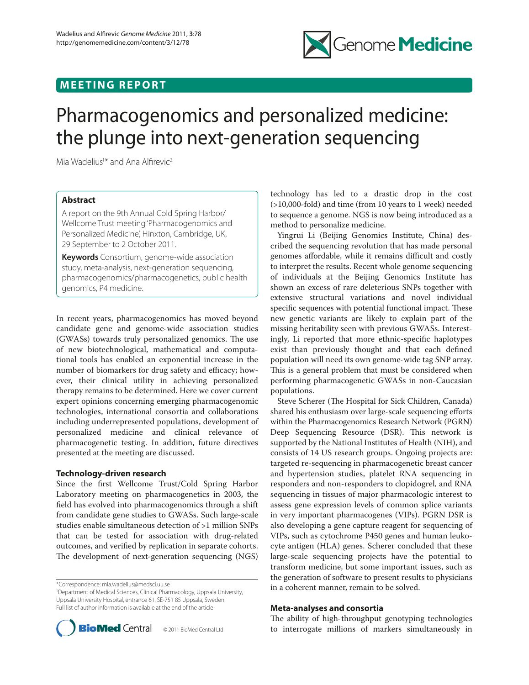

# **MEETING REPORT**

# Pharmacogenomics and personalized medicine: the plunge into next-generation sequencing

Mia Wadelius<sup>1\*</sup> and Ana Alfirevic<sup>2</sup>

# **Abstract**

A report on the 9th Annual Cold Spring Harbor/ Wellcome Trust meeting 'Pharmacogenomics and Personalized Medicine', Hinxton, Cambridge, UK, 29 September to 2 October 2011.

**Keywords** Consortium, genome-wide association study, meta-analysis, next-generation sequencing, pharmacogenomics/pharmacogenetics, public health genomics, P4 medicine.

In recent years, pharmacogenomics has moved beyond candidate gene and genome-wide association studies (GWASs) towards truly personalized genomics. The use of new biotechnological, mathematical and computational tools has enabled an exponential increase in the number of biomarkers for drug safety and efficacy; however, their clinical utility in achieving personalized therapy remains to be determined. Here we cover current expert opinions concerning emerging pharmacogenomic technologies, international consortia and collaborations including underrepresented populations, development of personalized medicine and clinical relevance of pharmacogenetic testing. In addition, future directives presented at the meeting are discussed.

# **Technology-driven research**

Since the first Wellcome Trust/Cold Spring Harbor Laboratory meeting on pharmacogenetics in 2003, the field has evolved into pharmacogenomics through a shift from candidate gene studies to GWASs. Such large-scale studies enable simultaneous detection of >1 million SNPs that can be tested for association with drug-related outcomes, and verified by replication in separate cohorts. The development of next-generation sequencing (NGS)

\*Correspondence: mia.wadelius@medsci.uu.se

<sup>1</sup> Department of Medical Sciences, Clinical Pharmacology, Uppsala University, Uppsala University Hospital, entrance 61, SE-751 85 Uppsala, Sweden Full list of author information is available at the end of the article



technology has led to a drastic drop in the cost (>10,000-fold) and time (from 10 years to 1 week) needed to sequence a genome. NGS is now being introduced as a method to personalize medicine.

Yingrui Li (Beijing Genomics Institute, China) described the sequencing revolution that has made personal genomes affordable, while it remains difficult and costly to interpret the results. Recent whole genome sequencing of individuals at the Beijing Genomics Institute has shown an excess of rare deleterious SNPs together with extensive structural variations and novel individual specific sequences with potential functional impact. These new genetic variants are likely to explain part of the missing heritability seen with previous GWASs. Interestingly, Li reported that more ethnic-specific haplotypes exist than previously thought and that each defined population will need its own genome-wide tag SNP array. This is a general problem that must be considered when performing pharmacogenetic GWASs in non-Caucasian populations.

Steve Scherer (The Hospital for Sick Children, Canada) shared his enthusiasm over large-scale sequencing efforts within the Pharmacogenomics Research Network (PGRN) Deep Sequencing Resource (DSR). This network is supported by the National Institutes of Health (NIH), and consists of 14 US research groups. Ongoing projects are: targeted re-sequencing in pharmacogenetic breast cancer and hypertension studies, platelet RNA sequencing in responders and non-responders to clopidogrel, and RNA sequencing in tissues of major pharmacologic interest to assess gene expression levels of common splice variants in very important pharmacogenes (VIPs). PGRN DSR is also developing a gene capture reagent for sequencing of VIPs, such as cytochrome P450 genes and human leukocyte antigen (HLA) genes. Scherer concluded that these large-scale sequencing projects have the potential to transform medicine, but some important issues, such as the generation of software to present results to physicians in a coherent manner, remain to be solved.

# **Meta-analyses and consortia**

The ability of high-throughput genotyping technologies to interrogate millions of markers simultaneously in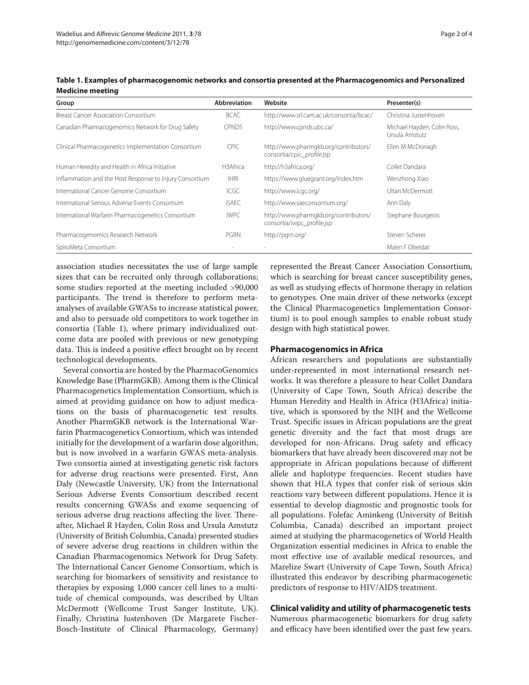| Group                                                   | <b>Abbreviation</b> | Website                                                             | Presenter(s)                                  |
|---------------------------------------------------------|---------------------|---------------------------------------------------------------------|-----------------------------------------------|
| <b>Breast Cancer Association Consortium</b>             | <b>BCAC</b>         | http://www.srl.cam.ac.uk/consortia/bcac/                            | Christina Justenhoven                         |
| Canadian Pharmacogenomics Network for Drug Safety       | <b>CPNDS</b>        | http://www.cpnds.ubc.ca/                                            | Michael Hayden, Colin Ross,<br>Ursula Amstutz |
| Clinical Pharmacogenetics Implementation Consortium     | <b>CPIC</b>         | http://www.pharmqkb.org/contributors/<br>consortia/cpic_profile.jsp | Ellen M McDonagh                              |
| Human Heredity and Health in Africa Initiative          | H3 Africa           | http://h3africa.org/                                                | Collet Dandara                                |
| Inflammation and the Host Response to Injury Consortium | <b>IHRI</b>         | https://www.gluegrant.org/index.htm                                 | Wenzhong Xiao                                 |
| International Cancer Genome Consortium                  | <b>ICGC</b>         | http://www.icgc.org/                                                | Ultan McDermott                               |
| International Serious Adverse Events Consortium         | <b>iSAEC</b>        | http://www.saeconsortium.org/                                       | Ann Daly                                      |
| International Warfarin Pharmacogenetics Consortium      | <b>IWPC</b>         | http://www.pharmqkb.org/contributors/<br>consortia/iwpc_profile.jsp | Stephane Bourgeois                            |
| Pharmacogenomics Research Network                       | PGRN                | http://pgrn.org/                                                    | Steven Scherer                                |
| SpiroMeta Consortium                                    |                     |                                                                     | Ma'en F Obeidat                               |

**Table 1. Examples of pharmacogenomic networks and consortia presented at the Pharmacogenomics and Personalized Medicine meeting**

association studies necessitates the use of large sample sizes that can be recruited only through collaborations; some studies reported at the meeting included >90,000 participants. The trend is therefore to perform metaanalyses of available GWASs to increase statistical power, and also to persuade old competitors to work together in consortia (Table 1), where primary individualized outcome data are pooled with previous or new genotyping data. This is indeed a positive effect brought on by recent technological developments.

Several consortia are hosted by the PharmacoGenomics Knowledge Base (PharmGKB). Among them is the Clinical Pharmacogenetics Implementation Consortium, which is aimed at providing guidance on how to adjust medications on the basis of pharmacogenetic test results. Another PharmGKB network is the International Warfarin Pharmacogenetics Consortium, which was intended initially for the development of a warfarin dose algorithm, but is now involved in a warfarin GWAS meta-analysis. Two consortia aimed at investigating genetic risk factors for adverse drug reactions were presented. First, Ann Daly (Newcastle University, UK) from the International Serious Adverse Events Consortium described recent results concerning GWASs and exome sequencing of serious adverse drug reactions affecting the liver. Thereafter, Michael R Hayden, Colin Ross and Ursula Amstutz (University of British Columbia, Canada) presented studies of severe adverse drug reactions in children within the Canadian Pharmacogenomics Network for Drug Safety. The International Cancer Genome Consortium, which is searching for biomarkers of sensitivity and resistance to therapies by exposing 1,000 cancer cell lines to a multitude of chemical compounds, was described by Ultan McDermott (Wellcome Trust Sanger Institute, UK). Finally, Christina Justenhoven (Dr Margarete Fischer-Bosch-Institute of Clinical Pharmacology, Germany)

represented the Breast Cancer Association Consortium, which is searching for breast cancer susceptibility genes, as well as studying effects of hormone therapy in relation to genotypes. One main driver of these networks (except the Clinical Pharmacogenetics Implementation Consortium) is to pool enough samples to enable robust study design with high statistical power.

## **Pharmacogenomics in Africa**

African researchers and populations are substantially under-represented in most international research networks. It was therefore a pleasure to hear Collet Dandara (University of Cape Town, South Africa) describe the Human Heredity and Health in Africa (H3Africa) initiative, which is sponsored by the NIH and the Wellcome Trust. Specific issues in African populations are the great genetic diversity and the fact that most drugs are developed for non-Africans. Drug safety and efficacy biomarkers that have already been discovered may not be appropriate in African populations because of different allele and haplotype frequencies. Recent studies have shown that HLA types that confer risk of serious skin reactions vary between different populations. Hence it is essential to develop diagnostic and prognostic tools for all populations. Folefac Aminkeng (University of British Columbia, Canada) described an important project aimed at studying the pharmacogenetics of World Health Organization essential medicines in Africa to enable the most effective use of available medical resources, and Marelize Swart (University of Cape Town, South Africa) illustrated this endeavor by describing pharmacogenetic predictors of response to HIV/AIDS treatment.

# **Clinical validity and utility of pharmacogenetic tests**

Numerous pharmacogenetic biomarkers for drug safety and efficacy have been identified over the past few years.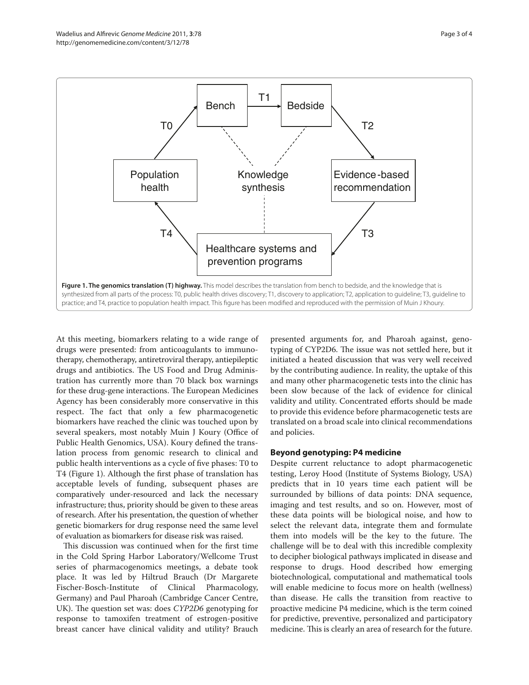

At this meeting, biomarkers relating to a wide range of drugs were presented: from anticoagulants to immunotherapy, chemotherapy, antiretroviral therapy, antiepileptic drugs and antibiotics. The US Food and Drug Administration has currently more than 70 black box warnings for these drug-gene interactions. The European Medicines Agency has been considerably more conservative in this respect. The fact that only a few pharmacogenetic biomarkers have reached the clinic was touched upon by several speakers, most notably Muin J Koury (Office of Public Health Genomics, USA). Koury defined the translation process from genomic research to clinical and public health interventions as a cycle of five phases: T0 to T4 (Figure 1). Although the first phase of translation has acceptable levels of funding, subsequent phases are comparatively under-resourced and lack the necessary infrastructure; thus, priority should be given to these areas of research. After his presentation, the question of whether genetic biomarkers for drug response need the same level of evaluation as biomarkers for disease risk was raised.

This discussion was continued when for the first time in the Cold Spring Harbor Laboratory/Wellcome Trust series of pharmacogenomics meetings, a debate took place. It was led by Hiltrud Brauch (Dr Margarete Fischer-Bosch-Institute of Clinical Pharmacology, Germany) and Paul Pharoah (Cambridge Cancer Centre, UK). The question set was: does *CYP2D6* genotyping for response to tamoxifen treatment of estrogen-positive breast cancer have clinical validity and utility? Brauch

presented arguments for, and Pharoah against, genotyping of CYP2D6. The issue was not settled here, but it initiated a heated discussion that was very well received by the contributing audience. In reality, the uptake of this and many other pharmacogenetic tests into the clinic has been slow because of the lack of evidence for clinical validity and utility. Concentrated efforts should be made to provide this evidence before pharmacogenetic tests are translated on a broad scale into clinical recommendations and policies.

# **Beyond genotyping: P4 medicine**

Despite current reluctance to adopt pharmacogenetic testing, Leroy Hood (Institute of Systems Biology, USA) predicts that in 10 years time each patient will be surrounded by billions of data points: DNA sequence, imaging and test results, and so on. However, most of these data points will be biological noise, and how to select the relevant data, integrate them and formulate them into models will be the key to the future. The challenge will be to deal with this incredible complexity to decipher biological pathways implicated in disease and response to drugs. Hood described how emerging biotechnological, computational and mathematical tools will enable medicine to focus more on health (wellness) than disease. He calls the transition from reactive to proactive medicine P4 medicine, which is the term coined for predictive, preventive, personalized and participatory medicine. This is clearly an area of research for the future.